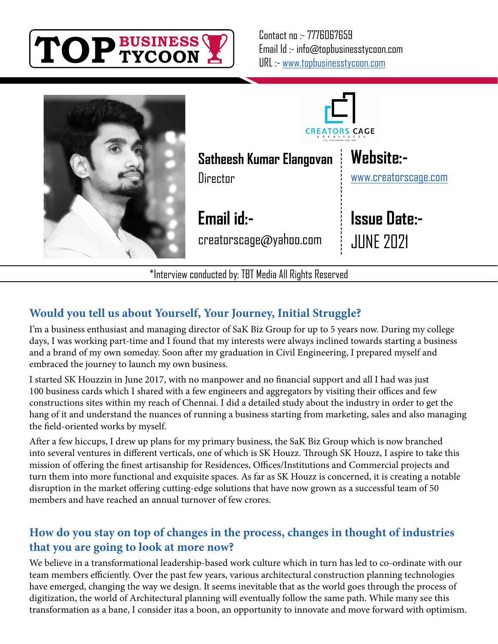





**Website:-**

**Issue Date:-**

JUNE 2021

[www.creatorscage.com](http://creatorscage.com/)

**Satheesh Kumar Elangovan**

**Email id:-**

creatorscage@yahoo.com

\*Interview conducted by: TBT Media All Rights Reserved

# **Would you tell us about Yourself, Your Journey, Initial Struggle?**

I'm a business enthusiast and managing director of SaK Biz Group for up to 5 years now. During my college days, I was working part-time and I found that my interests were always inclined towards starting a business and a brand of my own someday. Soon after my graduation in Civil Engineering, I prepared myself and embraced the journey to launch my own business.

I started SK Houzzin in June 2017, with no manpower and no financial support and all I had was just 100 business cards which I shared with a few engineers and aggregators by visiting their offices and few constructions sites within my reach of Chennai. I did a detailed study about the industry in order to get the hang of it and understand the nuances of running a business starting from marketing, sales and also managing the field-oriented works by myself.

After a few hiccups, I drew up plans for my primary business, the SaK Biz Group which is now branched into several ventures in different verticals, one of which is SK Houzz. Through SK Houzz, I aspire to take this mission of offering the finest artisanship for Residences, Offices/Institutions and Commercial projects and turn them into more functional and exquisite spaces. As far as SK Houzz is concerned, it is creating a notable disruption in the market offering cutting-edge solutions that have now grown as a successful team of 50 members and have reached an annual turnover of few crores.

## **How do you stay on top of changes in the process, changes in thought of industries that you are going to look at more now?**

We believe in a transformational leadership-based work culture which in turn has led to co-ordinate with our team members efficiently. Over the past few years, various architectural construction planning technologies have emerged, changing the way we design. It seems inevitable that as the world goes through the process of digitization, the world of Architectural planning will eventually follow the same path. While many see this transformation as a bane, I consider itas a boon, an opportunity to innovate and move forward with optimism.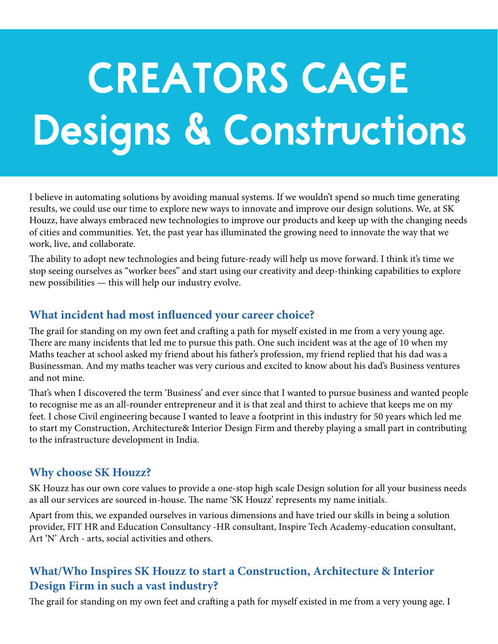# **CREATORS CAGE Designs & Constructions**

I believe in automating solutions by avoiding manual systems. If we wouldn't spend so much time generating results, we could use our time to explore new ways to innovate and improve our design solutions. We, at SK Houzz, have always embraced new technologies to improve our products and keep up with the changing needs of cities and communities. Yet, the past year has illuminated the growing need to innovate the way that we work, live, and collaborate.

The ability to adopt new technologies and being future-ready will help us move forward. I think it's time we stop seeing ourselves as "worker bees" and start using our creativity and deep-thinking capabilities to explore new possibilities — this will help our industry evolve.

#### **What incident had most influenced your career choice?**

The grail for standing on my own feet and crafting a path for myself existed in me from a very young age. There are many incidents that led me to pursue this path. One such incident was at the age of 10 when my Maths teacher at school asked my friend about his father's profession, my friend replied that his dad was a Businessman. And my maths teacher was very curious and excited to know about his dad's Business ventures and not mine.

That's when I discovered the term 'Business' and ever since that I wanted to pursue business and wanted people to recognise me as an all-rounder entrepreneur and it is that zeal and thirst to achieve that keeps me on my feet. I chose Civil engineering because I wanted to leave a footprint in this industry for 50 years which led me to start my Construction, Architecture& Interior Design Firm and thereby playing a small part in contributing to the infrastructure development in India.

## **Why choose SK Houzz?**

SK Houzz has our own core values to provide a one-stop high scale Design solution for all your business needs as all our services are sourced in-house. The name 'SK Houzz' represents my name initials.

Apart from this, we expanded ourselves in various dimensions and have tried our skills in being a solution provider, FIT HR and Education Consultancy -HR consultant, Inspire Tech Academy-education consultant, Art 'N' Arch - arts, social activities and others.

# **What/Who Inspires SK Houzz to start a Construction, Architecture & Interior Design Firm in such a vast industry?**

The grail for standing on my own feet and crafting a path for myself existed in me from a very young age. I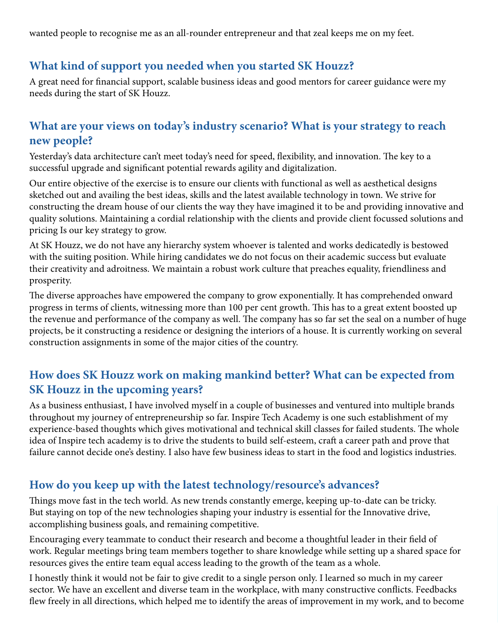wanted people to recognise me as an all-rounder entrepreneur and that zeal keeps me on my feet.

## **What kind of support you needed when you started SK Houzz?**

A great need for financial support, scalable business ideas and good mentors for career guidance were my needs during the start of SK Houzz.

#### **What are your views on today's industry scenario? What is your strategy to reach new people?**

Yesterday's data architecture can't meet today's need for speed, flexibility, and innovation. The key to a successful upgrade and significant potential rewards agility and digitalization.

Our entire objective of the exercise is to ensure our clients with functional as well as aesthetical designs sketched out and availing the best ideas, skills and the latest available technology in town. We strive for constructing the dream house of our clients the way they have imagined it to be and providing innovative and quality solutions. Maintaining a cordial relationship with the clients and provide client focussed solutions and pricing Is our key strategy to grow.

At SK Houzz, we do not have any hierarchy system whoever is talented and works dedicatedly is bestowed with the suiting position. While hiring candidates we do not focus on their academic success but evaluate their creativity and adroitness. We maintain a robust work culture that preaches equality, friendliness and prosperity.

The diverse approaches have empowered the company to grow exponentially. It has comprehended onward progress in terms of clients, witnessing more than 100 per cent growth. This has to a great extent boosted up the revenue and performance of the company as well. The company has so far set the seal on a number of huge projects, be it constructing a residence or designing the interiors of a house. It is currently working on several construction assignments in some of the major cities of the country.

## **How does SK Houzz work on making mankind better? What can be expected from SK Houzz in the upcoming years?**

As a business enthusiast, I have involved myself in a couple of businesses and ventured into multiple brands throughout my journey of entrepreneurship so far. Inspire Tech Academy is one such establishment of my experience-based thoughts which gives motivational and technical skill classes for failed students. The whole idea of Inspire tech academy is to drive the students to build self-esteem, craft a career path and prove that failure cannot decide one's destiny. I also have few business ideas to start in the food and logistics industries.

## **How do you keep up with the latest technology/resource's advances?**

Things move fast in the tech world. As new trends constantly emerge, keeping up-to-date can be tricky. But staying on top of the new technologies shaping your industry is essential for the Innovative drive, accomplishing business goals, and remaining competitive.

Encouraging every teammate to conduct their research and become a thoughtful leader in their field of work. Regular meetings bring team members together to share knowledge while setting up a shared space for resources gives the entire team equal access leading to the growth of the team as a whole.

I honestly think it would not be fair to give credit to a single person only. I learned so much in my career sector. We have an excellent and diverse team in the workplace, with many constructive conflicts. Feedbacks flew freely in all directions, which helped me to identify the areas of improvement in my work, and to become